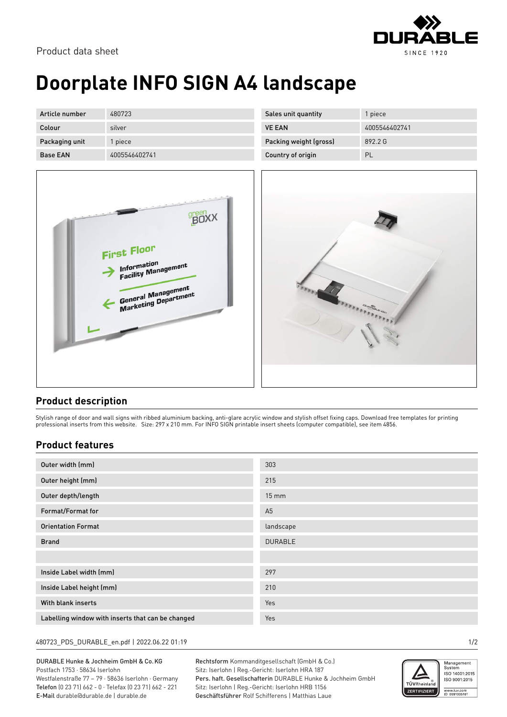

# **Doorplate INFO SIGN A4 landscape**

| Article number  | 480723        | Sales unit quantity    | piece         |
|-----------------|---------------|------------------------|---------------|
| Colour          | silver        | <b>VE EAN</b>          | 4005546402741 |
| Packaging unit  | piece         | Packing weight (gross) | 892.2 G       |
| <b>Base EAN</b> | 4005546402741 | Country of origin      | PL            |





### **Product description**

Stylish range of door and wall signs with ribbed aluminium backing, anti-glare acrylic window and stylish offset fixing caps. Download free templates for printing professional inserts from this website. Size: 297 x 210 mm. For INFO SIGN printable insert sheets (computer compatible), see item 4856.

### **Product features**

| Outer width (mm)                                  | 303             |
|---------------------------------------------------|-----------------|
| Outer height (mm)                                 | 215             |
| Outer depth/length                                | $15 \text{ mm}$ |
| Format/Format for                                 | A <sub>5</sub>  |
| <b>Orientation Format</b>                         | landscape       |
| <b>Brand</b>                                      | <b>DURABLE</b>  |
|                                                   |                 |
| Inside Label width (mm)                           | 297             |
| Inside Label height (mm)                          | 210             |
| With blank inserts                                | Yes             |
| Labelling window with inserts that can be changed | Yes             |

#### 480723\_PDS\_DURABLE\_en.pdf | 2022.06.22 01:19 1/2

DURABLE Hunke & Jochheim GmbH & Co.KG Postfach 1753 · 58634 Iserlohn Westfalenstraße 77 – 79 · 58636 Iserlohn · Germany Telefon (0 23 71) 662 - 0 · Telefax (0 23 71) 662 - 221 E-Mail durable@durable.de | durable.de

Rechtsform Kommanditgesellschaft (GmbH & Co.) Sitz: Iserlohn | Reg.-Gericht: Iserlohn HRA 187 Pers. haft. Gesellschafterin DURABLE Hunke & Jochheim GmbH Sitz: Iserlohn | Reg.-Gericht: Iserlohn HRB 1156 Geschäftsführer Rolf Schifferens | Matthias Laue